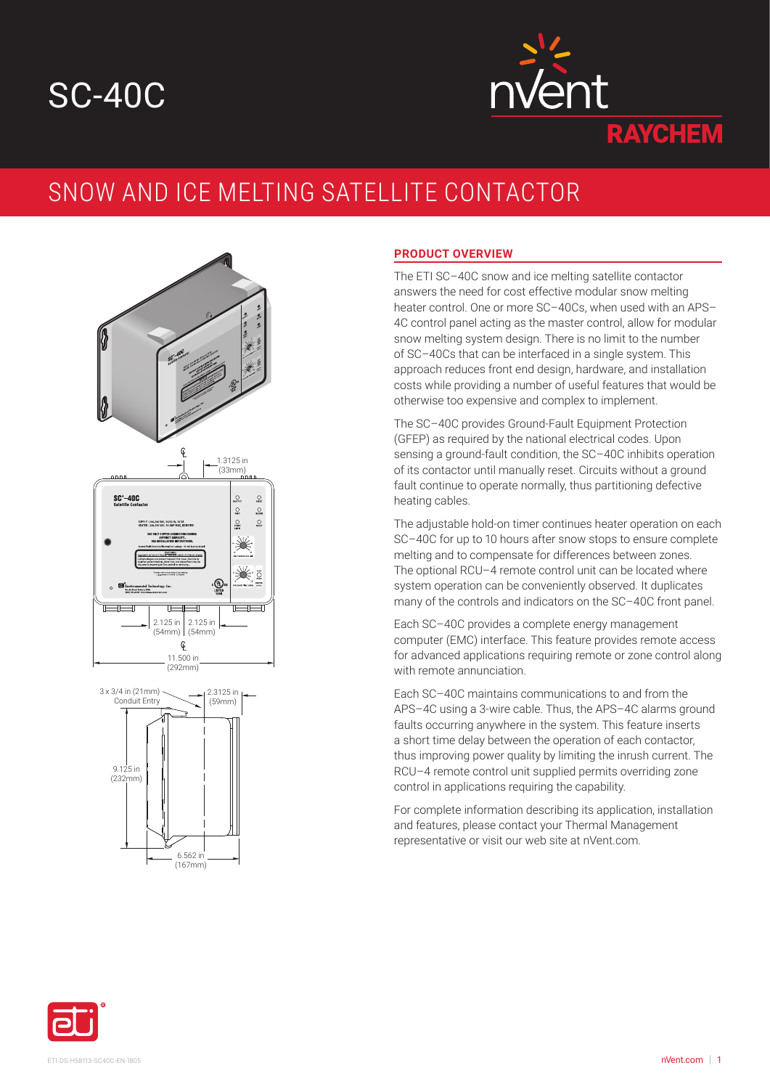# SC-40C



## SNOW AND ICE MELTING SATELLITE CONTACTOR





#### **PRODUCT OVERVIEW**

The ETI SC–40C snow and ice melting satellite contactor answers the need for cost effective modular snow melting heater control. One or more SC–40Cs, when used with an APS– 4C control panel acting as the master control, allow for modular snow melting system design. There is no limit to the number of SC–40Cs that can be interfaced in a single system. This approach reduces front end design, hardware, and installation costs while providing a number of useful features that would be otherwise too expensive and complex to implement.

The SC–40C provides Ground-Fault Equipment Protection (GFEP) as required by the national electrical codes. Upon sensing a ground-fault condition, the SC–40C inhibits operation of its contactor until manually reset. Circuits without a ground fault continue to operate normally, thus partitioning defective heating cables.

The adjustable hold-on timer continues heater operation on each SC–40C for up to 10 hours after snow stops to ensure complete melting and to compensate for differences between zones. The optional RCU–4 remote control unit can be located where system operation can be conveniently observed. It duplicates many of the controls and indicators on the SC–40C front panel.

Each SC–40C provides a complete energy management computer (EMC) interface. This feature provides remote access for advanced applications requiring remote or zone control along with remote annunciation.

Each SC–40C maintains communications to and from the APS–4C using a 3-wire cable. Thus, the APS–4C alarms ground faults occurring anywhere in the system. This feature inserts a short time delay between the operation of each contactor, thus improving power quality by limiting the inrush current. The RCU–4 remote control unit supplied permits overriding zone control in applications requiring the capability.

For complete information describing its application, installation and features, please contact your Thermal Management representative or visit our web site at nVent.com.

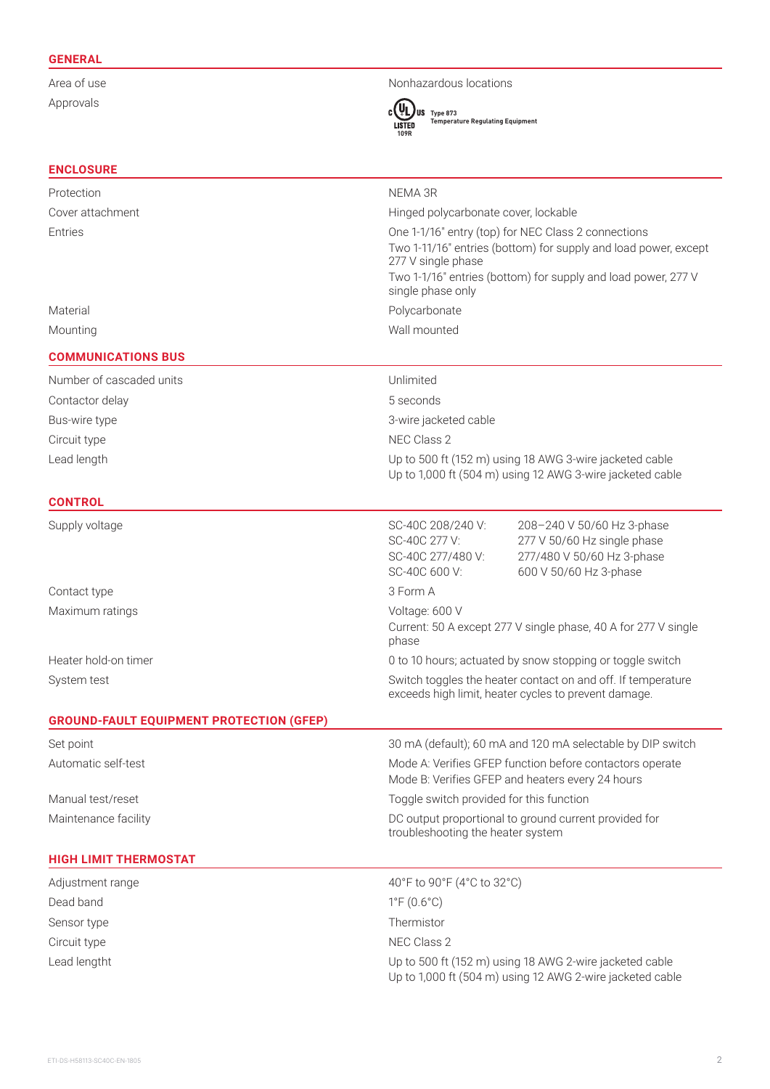#### **GENERAL**

Approvals

### Area of use Nonhazardous locations



**Type 873 Temperature Regulating Equipment**

| <b>ENCLOSURE</b>                                |                                                                                                                                                                                                                                    |
|-------------------------------------------------|------------------------------------------------------------------------------------------------------------------------------------------------------------------------------------------------------------------------------------|
| Protection                                      | NEMA 3R                                                                                                                                                                                                                            |
| Cover attachment                                | Hinged polycarbonate cover, lockable                                                                                                                                                                                               |
| Entries                                         | One 1-1/16" entry (top) for NEC Class 2 connections<br>Two 1-11/16" entries (bottom) for supply and load power, except<br>277 V single phase<br>Two 1-1/16" entries (bottom) for supply and load power, 277 V<br>single phase only |
| Material                                        | Polycarbonate                                                                                                                                                                                                                      |
| Mounting                                        | Wall mounted                                                                                                                                                                                                                       |
| <b>COMMUNICATIONS BUS</b>                       |                                                                                                                                                                                                                                    |
| Number of cascaded units                        | Unlimited                                                                                                                                                                                                                          |
| Contactor delay                                 | 5 seconds                                                                                                                                                                                                                          |
| Bus-wire type                                   | 3-wire jacketed cable                                                                                                                                                                                                              |
| Circuit type                                    | NEC Class 2                                                                                                                                                                                                                        |
| Lead length                                     | Up to 500 ft (152 m) using 18 AWG 3-wire jacketed cable<br>Up to 1,000 ft (504 m) using 12 AWG 3-wire jacketed cable                                                                                                               |
| <b>CONTROL</b>                                  |                                                                                                                                                                                                                                    |
| Supply voltage                                  | SC-40C 208/240 V:<br>208-240 V 50/60 Hz 3-phase<br>SC-40C 277 V:<br>277 V 50/60 Hz single phase<br>SC-40C 277/480 V:<br>277/480 V 50/60 Hz 3-phase<br>SC-40C 600 V:<br>600 V 50/60 Hz 3-phase                                      |
| Contact type                                    | 3 Form A                                                                                                                                                                                                                           |
| Maximum ratings                                 | Voltage: 600 V<br>Current: 50 A except 277 V single phase, 40 A for 277 V single<br>phase                                                                                                                                          |
| Heater hold-on timer                            | 0 to 10 hours; actuated by snow stopping or toggle switch                                                                                                                                                                          |
| System test                                     | Switch toggles the heater contact on and off. If temperature<br>exceeds high limit, heater cycles to prevent damage.                                                                                                               |
| <b>GROUND-FAULT EQUIPMENT PROTECTION (GFEP)</b> |                                                                                                                                                                                                                                    |
| Set point                                       | 30 mA (default); 60 mA and 120 mA selectable by DIP switch                                                                                                                                                                         |
| Automatic self-test                             | Mode A: Verifies GFEP function before contactors operate<br>Mode B: Verifies GFEP and heaters every 24 hours                                                                                                                       |
| Manual test/reset                               | Toggle switch provided for this function                                                                                                                                                                                           |
| Maintenance facility                            | DC output proportional to ground current provided for<br>troubleshooting the heater system                                                                                                                                         |
| <b>HIGH LIMIT THERMOSTAT</b>                    |                                                                                                                                                                                                                                    |
| Adjustment range                                | 40°F to 90°F (4°C to 32°C)                                                                                                                                                                                                         |
| Dead band                                       | $1^{\circ}F(0.6^{\circ}C)$                                                                                                                                                                                                         |
| Sensor type                                     | Thermistor                                                                                                                                                                                                                         |
| Circuit type                                    | NEC Class 2                                                                                                                                                                                                                        |
| Lead lengtht                                    | Up to 500 ft (152 m) using 18 AWG 2-wire jacketed cable<br>Up to 1,000 ft (504 m) using 12 AWG 2-wire jacketed cable                                                                                                               |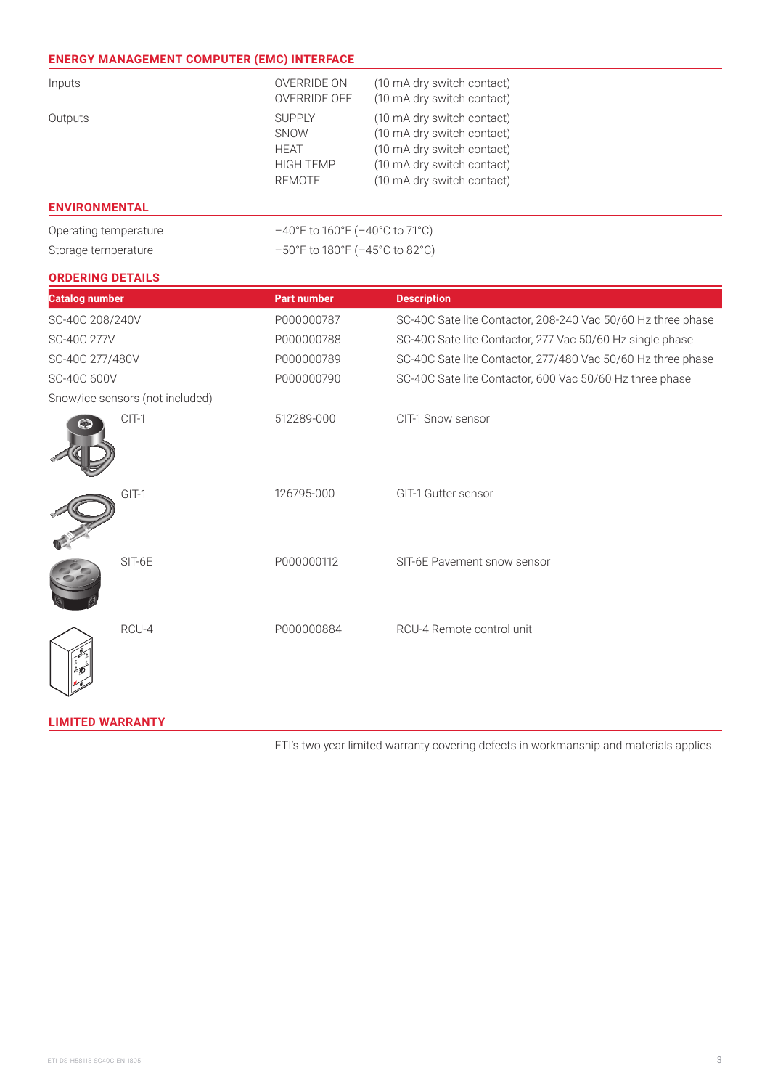#### **ENERGY MANAGEMENT COMPUTER (EMC) INTERFACE**

| Inputs  | OVERRIDE ON<br>OVERRIDE OFF                                               | (10 mA dry switch contact)<br>(10 mA dry switch contact)                                                                                           |  |
|---------|---------------------------------------------------------------------------|----------------------------------------------------------------------------------------------------------------------------------------------------|--|
| Outputs | <b>SUPPLY</b><br><b>SNOW</b><br><b>HEAT</b><br><b>HIGH TEMP</b><br>REMOTE | (10 mA dry switch contact)<br>(10 mA dry switch contact)<br>(10 mA dry switch contact)<br>(10 mA dry switch contact)<br>(10 mA dry switch contact) |  |

#### **ENVIRONMENTAL**

Operating temperature –40°F to 160°F (–40°C to 71°C)

Storage temperature –50°F to 180°F (–45°C to 82°C)

#### **ORDERING DETAILS**

| <b>Catalog number</b>           |         | <b>Part number</b> | <b>Description</b>                                           |  |  |
|---------------------------------|---------|--------------------|--------------------------------------------------------------|--|--|
| SC-40C 208/240V                 |         | P000000787         | SC-40C Satellite Contactor, 208-240 Vac 50/60 Hz three phase |  |  |
| SC-40C 277V                     |         | P000000788         | SC-40C Satellite Contactor, 277 Vac 50/60 Hz single phase    |  |  |
| SC-40C 277/480V                 |         | P000000789         | SC-40C Satellite Contactor, 277/480 Vac 50/60 Hz three phase |  |  |
| SC-40C 600V                     |         | P000000790         | SC-40C Satellite Contactor, 600 Vac 50/60 Hz three phase     |  |  |
| Snow/ice sensors (not included) |         |                    |                                                              |  |  |
|                                 | $CIT-1$ | 512289-000         | CIT-1 Snow sensor                                            |  |  |
|                                 | $GIT-1$ | 126795-000         | GIT-1 Gutter sensor                                          |  |  |
|                                 | SIT-6E  | P000000112         | SIT-6E Pavement snow sensor                                  |  |  |
|                                 | RCU-4   | P000000884         | RCU-4 Remote control unit                                    |  |  |

#### **LIMITED WARRANTY**

ETI's two year limited warranty covering defects in workmanship and materials applies.